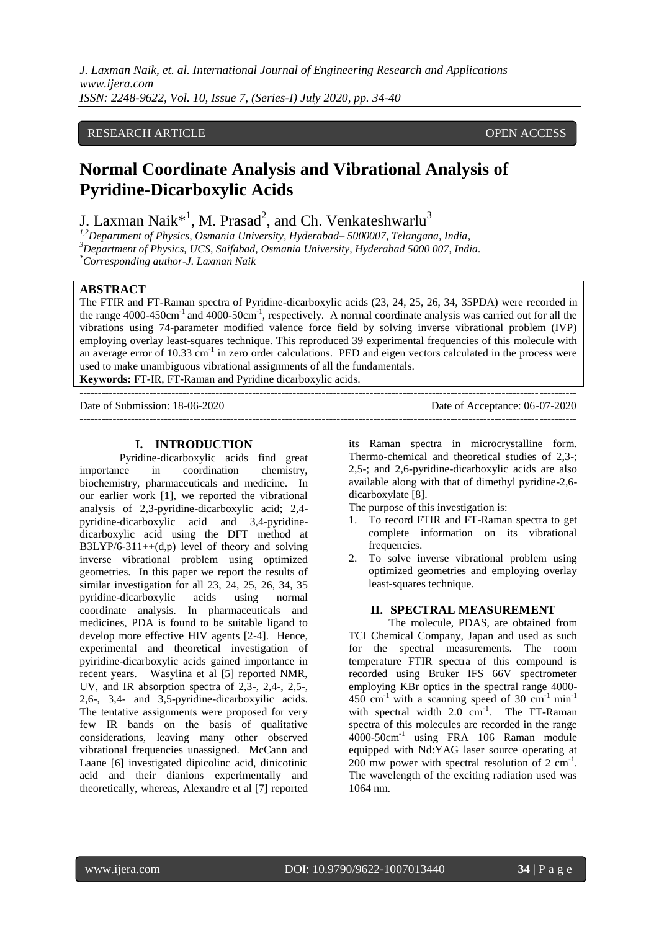# RESEARCH ARTICLE **CONSERVERS** OPEN ACCESS

# **Normal Coordinate Analysis and Vibrational Analysis of Pyridine-Dicarboxylic Acids**

J. Laxman Naik $^{\ast1}$ , M. Prasad<sup>2</sup>, and Ch. Venkateshwarlu<sup>3</sup>

*1,2Department of Physics, Osmania University, Hyderabad– 5000007, Telangana, India, <sup>3</sup>Department of Physics, UCS, Saifabad, Osmania University, Hyderabad 5000 007, India. \*Corresponding [author-J](mailto:author-laxmannaikj@gmail.com). Laxman Naik*

## **ABSTRACT**

The FTIR and FT-Raman spectra of Pyridine-dicarboxylic acids (23, 24, 25, 26, 34, 35PDA) were recorded in the range  $4000-450 \text{cm}^{-1}$  and  $4000-50 \text{cm}^{-1}$ , respectively. A normal coordinate analysis was carried out for all the vibrations using 74-parameter modified valence force field by solving inverse vibrational problem (IVP) employing overlay least-squares technique. This reproduced 39 experimental frequencies of this molecule with an average error of 10.33 cm<sup>-1</sup> in zero order calculations. PED and eigen vectors calculated in the process were used to make unambiguous vibrational assignments of all the fundamentals.

**Keywords:** FT-IR, FT-Raman and Pyridine dicarboxylic acids. ---------------------------------------------------------------------------------------------------------------------------------------

Date of Submission: 18-06-2020 Date of Acceptance: 06-07-2020 ---------------------------------------------------------------------------------------------------------------------------------------

## **I. INTRODUCTION**

Pyridine-dicarboxylic acids find great importance in coordination chemistry, biochemistry, pharmaceuticals and medicine. In our earlier work [1], we reported the vibrational analysis of 2,3-pyridine-dicarboxylic acid; 2,4 pyridine-dicarboxylic acid and 3,4-pyridinedicarboxylic acid using the DFT method at B3LYP/6-311++(d,p) level of theory and solving inverse vibrational problem using optimized geometries. In this paper we report the results of similar investigation for all 23, 24, 25, 26, 34, 35 pyridine-dicarboxylic acids using normal coordinate analysis. In pharmaceuticals and medicines, PDA is found to be suitable ligand to develop more effective HIV agents [2-4]. Hence, experimental and theoretical investigation of pyiridine-dicarboxylic acids gained importance in recent years. Wasylina et al [5] reported NMR, UV, and IR absorption spectra of 2,3-, 2,4-, 2,5-, 2,6-, 3,4- and 3,5-pyridine-dicarboxyilic acids. The tentative assignments were proposed for very few IR bands on the basis of qualitative considerations, leaving many other observed vibrational frequencies unassigned. McCann and Laane [6] investigated dipicolinc acid, dinicotinic acid and their dianions experimentally and theoretically, whereas, Alexandre et al [7] reported

its Raman spectra in microcrystalline form. Thermo-chemical and theoretical studies of 2,3-; 2,5-; and 2,6-pyridine-dicarboxylic acids are also available along with that of dimethyl pyridine-2,6 dicarboxylate [8].

The purpose of this investigation is:

- 1. To record FTIR and FT-Raman spectra to get complete information on its vibrational frequencies.
- 2. To solve inverse vibrational problem using optimized geometries and employing overlay least-squares technique.

## **II. SPECTRAL MEASUREMENT**

The molecule, PDAS, are obtained from TCI Chemical Company, Japan and used as such for the spectral measurements. The room temperature FTIR spectra of this compound is recorded using Bruker IFS 66V spectrometer employing KBr optics in the spectral range 4000- 450 cm<sup>-1</sup> with a scanning speed of 30 cm<sup>-1</sup> min<sup>-1</sup> with spectral width  $2.0 \text{ cm}^{-1}$ . The FT-Raman spectra of this molecules are recorded in the range 4000-50cm-1 using FRA 106 Raman module equipped with Nd:YAG laser source operating at  $200$  mw power with spectral resolution of  $2 \text{ cm}^{-1}$ . The wavelength of the exciting radiation used was 1064 nm.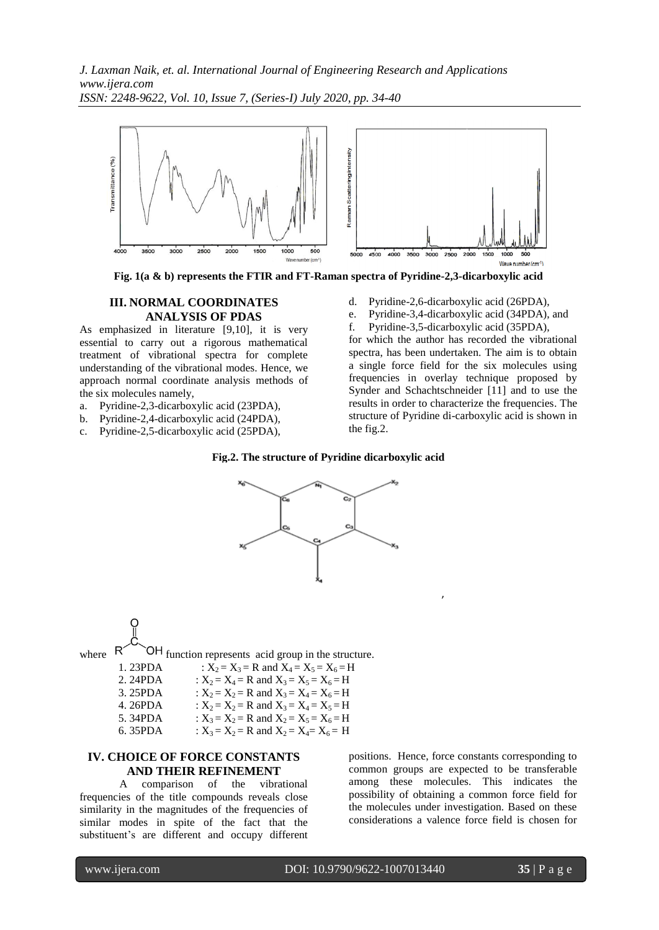*J. Laxman Naik, et. al. International Journal of Engineering Research and Applications www.ijera.com ISSN: 2248-9622, Vol. 10, Issue 7, (Series-I) July 2020, pp. 34-40*



**Fig. 1(a & b) represents the FTIR and FT-Raman spectra of Pyridine-2,3-dicarboxylic acid**

#### **III. NORMAL COORDINATES ANALYSIS OF PDAS**

As emphasized in literature [9,10], it is very essential to carry out a rigorous mathematical treatment of vibrational spectra for complete understanding of the vibrational modes. Hence, we approach normal coordinate analysis methods of the six molecules namely,

- a. Pyridine-2,3-dicarboxylic acid (23PDA),
- b. Pyridine-2,4-dicarboxylic acid (24PDA),
- c. Pyridine-2,5-dicarboxylic acid (25PDA),
- d. Pyridine-2,6-dicarboxylic acid (26PDA),
- e. Pyridine-3,4-dicarboxylic acid (34PDA), and
- f. Pyridine-3,5-dicarboxylic acid (35PDA),

for which the author has recorded the vibrational spectra, has been undertaken. The aim is to obtain a single force field for the six molecules using frequencies in overlay technique proposed by Synder and Schachtschneider [11] and to use the results in order to characterize the frequencies. The structure of Pyridine di-carboxylic acid is shown in the fig.2.





where  $R^{\prime}$   $\sim$   $\overline{OH}$  function represents acid group in the structure. 1. 23PDA :  $X_2 = X_3 = R$  and  $X_4 = X_5 = X_6 = H$ 

| 2. 24PDA | : $X_2 = X_4 = R$ and $X_3 = X_5 = X_6 = H$ |
|----------|---------------------------------------------|
| 3.25PDA  | : $X_2 = X_2 = R$ and $X_3 = X_4 = X_6 = H$ |
| 4.26PDA  | : $X_2 = X_2 = R$ and $X_3 = X_4 = X_5 = H$ |
| 5.34PDA  | : $X_3 = X_2 = R$ and $X_2 = X_5 = X_6 = H$ |
|          |                                             |

#### 6. 35PDA :  $X_3 = X_2 = R$  and  $X_2 = X_4 = X_6 = H$

## **IV. CHOICE OF FORCE CONSTANTS AND THEIR REFINEMENT**

A comparison of the vibrational frequencies of the title compounds reveals close similarity in the magnitudes of the frequencies of similar modes in spite of the fact that the substituent's are different and occupy different

positions. Hence, force constants corresponding to common groups are expected to be transferable among these molecules. This indicates the possibility of obtaining a common force field for the molecules under investigation. Based on these considerations a valence force field is chosen for

,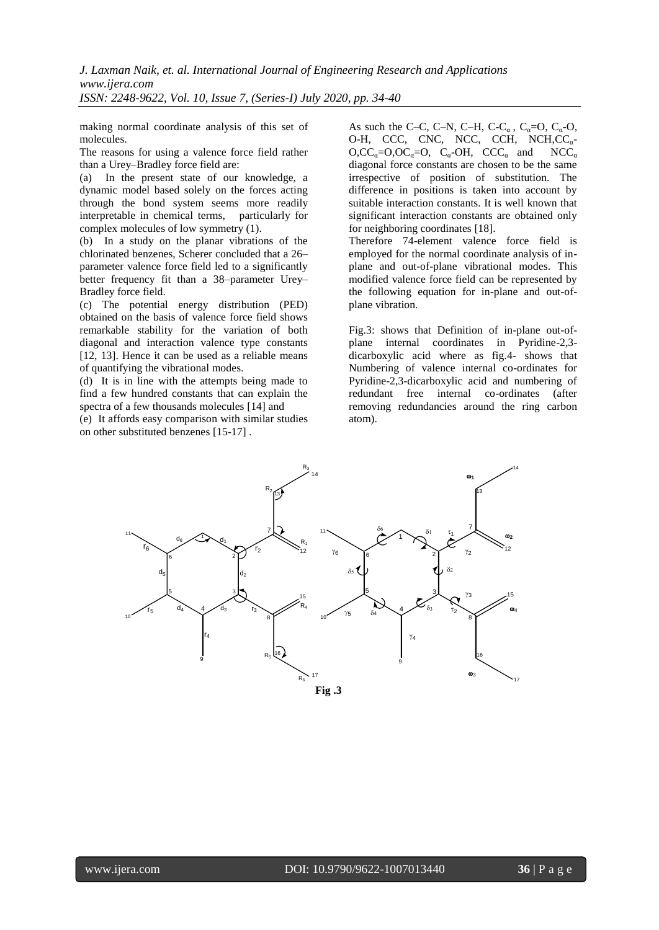making normal coordinate analysis of this set of molecules.

The reasons for using a valence force field rather than a Urey–Bradley force field are:

(a) In the present state of our knowledge, a dynamic model based solely on the forces acting through the bond system seems more readily interpretable in chemical terms, particularly for complex molecules of low symmetry (1).

(b) In a study on the planar vibrations of the chlorinated benzenes, Scherer concluded that a 26– parameter valence force field led to a significantly better frequency fit than a 38–parameter Urey– Bradley force field.

(c) The potential energy distribution (PED) obtained on the basis of valence force field shows remarkable stability for the variation of both diagonal and interaction valence type constants [12, 13]. Hence it can be used as a reliable means of quantifying the vibrational modes.

(d) It is in line with the attempts being made to find a few hundred constants that can explain the spectra of a few thousands molecules [14] and

(e) It affords easy comparison with similar studies on other substituted benzenes [15-17] .

As such the C–C, C–N, C–H, C-C<sub> $\alpha$ </sub>, C<sub> $\alpha$ </sub>=O, C<sub> $\alpha$ </sub>-O, O-H, CCC, CNC, NCC, CCH, NCH, CC<sub>a</sub>- $O, CC_a = O, OC_a = O, C_a - OH, CCC_a$  and  $NCC_a$ diagonal force constants are chosen to be the same irrespective of position of substitution. The difference in positions is taken into account by suitable interaction constants. It is well known that significant interaction constants are obtained only for neighboring coordinates [18].

Therefore 74-element valence force field is employed for the normal coordinate analysis of inplane and out-of-plane vibrational modes. This modified valence force field can be represented by the following equation for in-plane and out-ofplane vibration.

Fig.3: shows that Definition of in-plane out-ofplane internal coordinates in Pyridine-2,3 dicarboxylic acid where as fig.4- shows that Numbering of valence internal co-ordinates for Pyridine-2,3-dicarboxylic acid and numbering of redundant free internal co-ordinates (after removing redundancies around the ring carbon atom).

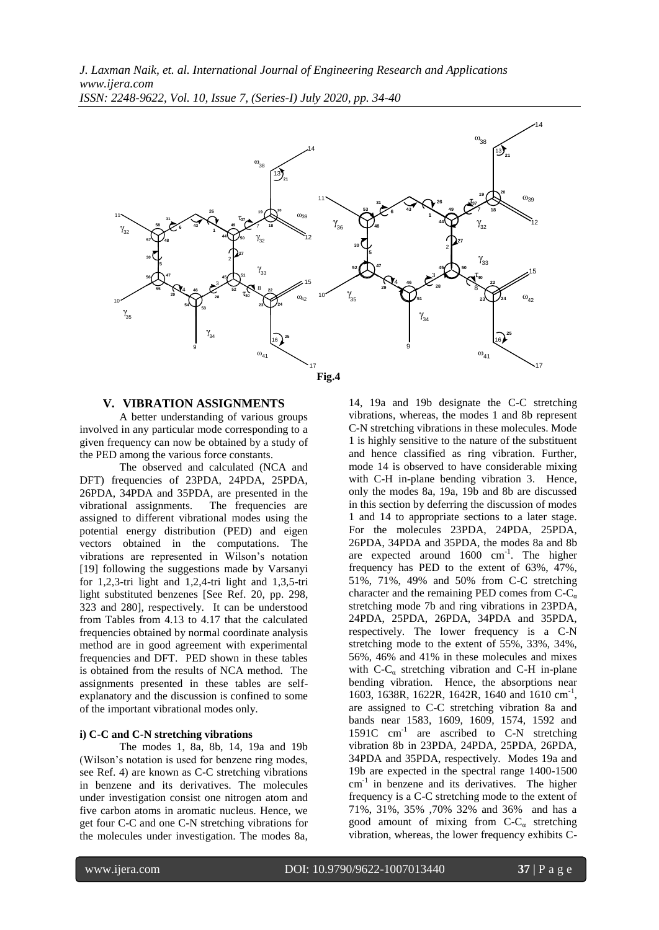*J. Laxman Naik, et. al. International Journal of Engineering Research and Applications www.ijera.com ISSN: 2248-9622, Vol. 10, Issue 7, (Series-I) July 2020, pp. 34-40*



#### **V. VIBRATION ASSIGNMENTS**

A better understanding of various groups involved in any particular mode corresponding to a given frequency can now be obtained by a study of the PED among the various force constants.

The observed and calculated (NCA and DFT) frequencies of 23PDA, 24PDA, 25PDA, 26PDA, 34PDA and 35PDA, are presented in the vibrational assignments. The frequencies are assigned to different vibrational modes using the potential energy distribution (PED) and eigen vectors obtained in the computations. The vibrations are represented in Wilson's notation [19] following the suggestions made by Varsanyi for 1,2,3-tri light and 1,2,4-tri light and 1,3,5-tri light substituted benzenes [See Ref. 20, pp. 298, 323 and 280], respectively. It can be understood from Tables from 4.13 to 4.17 that the calculated frequencies obtained by normal coordinate analysis method are in good agreement with experimental frequencies and DFT. PED shown in these tables is obtained from the results of NCA method. The assignments presented in these tables are selfexplanatory and the discussion is confined to some of the important vibrational modes only.

#### **i) C-C and C-N stretching vibrations**

The modes 1, 8a, 8b, 14, 19a and 19b (Wilson's notation is used for benzene ring modes, see Ref. 4) are known as C-C stretching vibrations in benzene and its derivatives. The molecules under investigation consist one nitrogen atom and five carbon atoms in aromatic nucleus. Hence, we get four C-C and one C-N stretching vibrations for the molecules under investigation. The modes 8a,

14, 19a and 19b designate the C-C stretching vibrations, whereas, the modes 1 and 8b represent C-N stretching vibrations in these molecules. Mode 1 is highly sensitive to the nature of the substituent and hence classified as ring vibration. Further, mode 14 is observed to have considerable mixing with C-H in-plane bending vibration 3. Hence, only the modes 8a, 19a, 19b and 8b are discussed in this section by deferring the discussion of modes 1 and 14 to appropriate sections to a later stage. For the molecules 23PDA, 24PDA, 25PDA, 26PDA, 34PDA and 35PDA, the modes 8a and 8b are expected around  $1600 \text{ cm}^{-1}$ . The higher frequency has PED to the extent of 63%, 47%, 51%, 71%, 49% and 50% from C-C stretching character and the remaining PED comes from  $C-C_{\alpha}$ stretching mode 7b and ring vibrations in 23PDA, 24PDA, 25PDA, 26PDA, 34PDA and 35PDA, respectively. The lower frequency is a C-N stretching mode to the extent of 55%, 33%, 34%, 56%, 46% and 41% in these molecules and mixes with  $C-C_{\alpha}$  stretching vibration and C-H in-plane bending vibration. Hence, the absorptions near 1603, 1638R, 1622R, 1642R, 1640 and 1610 cm-1 , are assigned to C-C stretching vibration 8a and bands near 1583, 1609, 1609, 1574, 1592 and 1591C  $cm^{-1}$  are ascribed to C-N stretching vibration 8b in 23PDA, 24PDA, 25PDA, 26PDA, 34PDA and 35PDA, respectively. Modes 19a and 19b are expected in the spectral range 1400-1500 cm-1 in benzene and its derivatives. The higher frequency is a C-C stretching mode to the extent of 71%, 31%, 35% ,70% 32% and 36% and has a good amount of mixing from  $C-C_{\alpha}$  stretching vibration, whereas, the lower frequency exhibits C-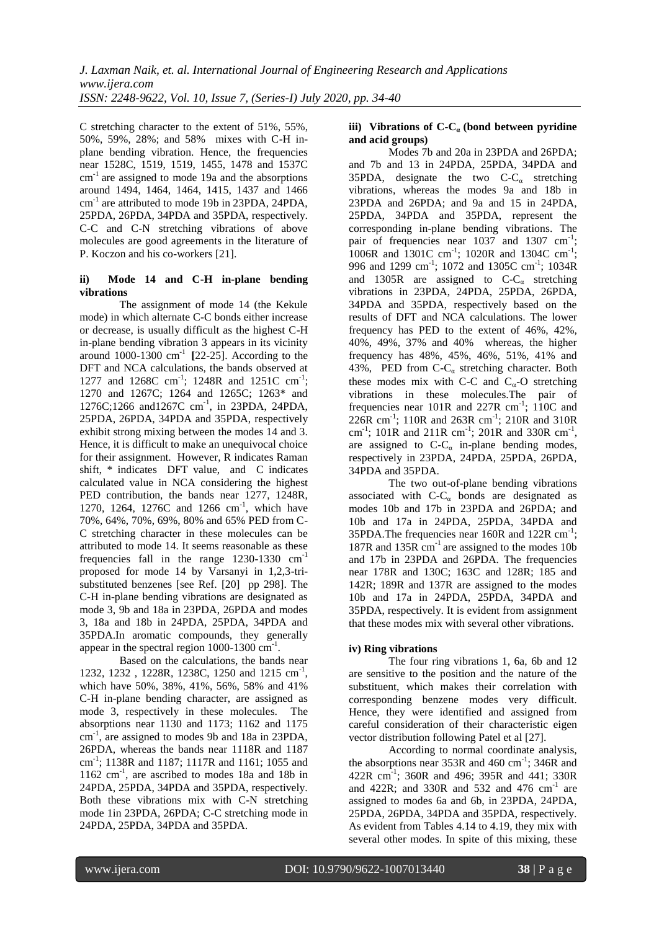C stretching character to the extent of 51%, 55%, 50%, 59%, 28%; and 58% mixes with C-H inplane bending vibration. Hence, the frequencies near 1528C, 1519, 1519, 1455, 1478 and 1537C  $cm<sup>-1</sup>$  are assigned to mode 19a and the absorptions around 1494, 1464, 1464, 1415, 1437 and 1466 cm<sup>-1</sup> are attributed to mode 19b in 23PDA, 24PDA, 25PDA, 26PDA, 34PDA and 35PDA, respectively. C-C and C-N stretching vibrations of above molecules are good agreements in the literature of P. Koczon and his co-workers [21].

## **ii) Mode 14 and C-H in-plane bending vibrations**

The assignment of mode 14 (the Kekule mode) in which alternate C-C bonds either increase or decrease, is usually difficult as the highest C-H in-plane bending vibration 3 appears in its vicinity around 1000-1300 cm-1 **[**22-25]. According to the DFT and NCA calculations, the bands observed at 1277 and 1268C cm<sup>-1</sup>; 1248R and 1251C cm<sup>-1</sup>; 1270 and 1267C; 1264 and 1265C; 1263\* and 1276C;1266 and1267C cm -1 , in 23PDA, 24PDA, 25PDA, 26PDA, 34PDA and 35PDA, respectively exhibit strong mixing between the modes 14 and 3. Hence, it is difficult to make an unequivocal choice for their assignment. However, R indicates Raman shift, \* indicates DFT value, and C indicates calculated value in NCA considering the highest PED contribution, the bands near 1277, 1248R, 1270, 1264, 1276C and 1266 cm<sup>-1</sup>, which have 70%, 64%, 70%, 69%, 80% and 65% PED from C-C stretching character in these molecules can be attributed to mode 14. It seems reasonable as these frequencies fall in the range 1230-1330 cm<sup>-1</sup> proposed for mode 14 by Varsanyi in 1,2,3-trisubstituted benzenes [see Ref. [20] pp 298]. The C-H in-plane bending vibrations are designated as mode 3, 9b and 18a in 23PDA, 26PDA and modes 3, 18a and 18b in 24PDA, 25PDA, 34PDA and 35PDA.In aromatic compounds, they generally appear in the spectral region  $1000-1300$   $cm^{-1}$ .

Based on the calculations, the bands near 1232, 1232, 1228R, 1238C, 1250 and 1215 cm<sup>-1</sup>, which have 50%, 38%, 41%, 56%, 58% and 41% C-H in-plane bending character, are assigned as mode 3, respectively in these molecules. The absorptions near 1130 and 1173; 1162 and 1175 cm-1 , are assigned to modes 9b and 18a in 23PDA, 26PDA, whereas the bands near 1118R and 1187 cm-1 ; 1138R and 1187; 1117R and 1161; 1055 and 1162 cm-1 , are ascribed to modes 18a and 18b in 24PDA, 25PDA, 34PDA and 35PDA, respectively. Both these vibrations mix with C-N stretching mode 1in 23PDA, 26PDA; C-C stretching mode in 24PDA, 25PDA, 34PDA and 35PDA.

## **iii)** Vibrations of C-C<sub>*a*</sub> (bond between pyridine **and acid groups)**

Modes 7b and 20a in 23PDA and 26PDA; and 7b and 13 in 24PDA, 25PDA, 34PDA and 35PDA, designate the two  $C-C_{\alpha}$  stretching vibrations, whereas the modes 9a and 18b in 23PDA and 26PDA; and 9a and 15 in 24PDA, 25PDA, 34PDA and 35PDA, represent the corresponding in-plane bending vibrations. The pair of frequencies near 1037 and 1307 cm<sup>-1</sup>; 1006R and 1301C cm<sup>-1</sup>; 1020R and 1304C cm<sup>-1</sup>; 996 and 1299 cm<sup>-1</sup>; 1072 and 1305C cm<sup>-1</sup>; 1034R and 1305R are assigned to  $C-C_{\alpha}$  stretching vibrations in 23PDA, 24PDA, 25PDA, 26PDA, 34PDA and 35PDA, respectively based on the results of DFT and NCA calculations. The lower frequency has PED to the extent of 46%, 42%, 40%, 49%, 37% and 40% whereas, the higher frequency has 48%, 45%, 46%, 51%, 41% and 43%, PED from  $C-C_{\alpha}$  stretching character. Both these modes mix with C-C and  $C_{\alpha}$ -O stretching vibrations in these molecules.The pair of frequencies near 101R and 227R cm<sup>-1</sup>; 110C and 226R cm-1 ; 110R and 263R cm-1 ; 210R and 310R cm<sup>-1</sup>; 101R and 211R cm<sup>-1</sup>; 201R and 330R cm<sup>-1</sup>, are assigned to  $C-C<sub>a</sub>$  in-plane bending modes, respectively in 23PDA, 24PDA, 25PDA, 26PDA, 34PDA and 35PDA.

The two out-of-plane bending vibrations associated with  $C-C_{\alpha}$  bonds are designated as modes 10b and 17b in 23PDA and 26PDA; and 10b and 17a in 24PDA, 25PDA, 34PDA and 35PDA. The frequencies near 160R and 122R  $cm^{-1}$ ;  $187R$  and  $135R$  cm<sup>-1</sup> are assigned to the modes 10b and 17b in 23PDA and 26PDA. The frequencies near 178R and 130C; 163C and 128R; 185 and 142R; 189R and 137R are assigned to the modes 10b and 17a in 24PDA, 25PDA, 34PDA and 35PDA, respectively. It is evident from assignment that these modes mix with several other vibrations.

# **iv) Ring vibrations**

The four ring vibrations 1, 6a, 6b and 12 are sensitive to the position and the nature of the substituent, which makes their correlation with corresponding benzene modes very difficult. Hence, they were identified and assigned from careful consideration of their characteristic eigen vector distribution following Patel et al [27].

According to normal coordinate analysis, the absorptions near  $353R$  and  $460 \text{ cm}^{-1}$ ;  $346R$  and 422R cm-1 ; 360R and 496; 395R and 441; 330R and 422R; and 330R and 532 and 476  $cm^{-1}$  are assigned to modes 6a and 6b, in 23PDA, 24PDA, 25PDA, 26PDA, 34PDA and 35PDA, respectively. As evident from Tables 4.14 to 4.19, they mix with several other modes. In spite of this mixing, these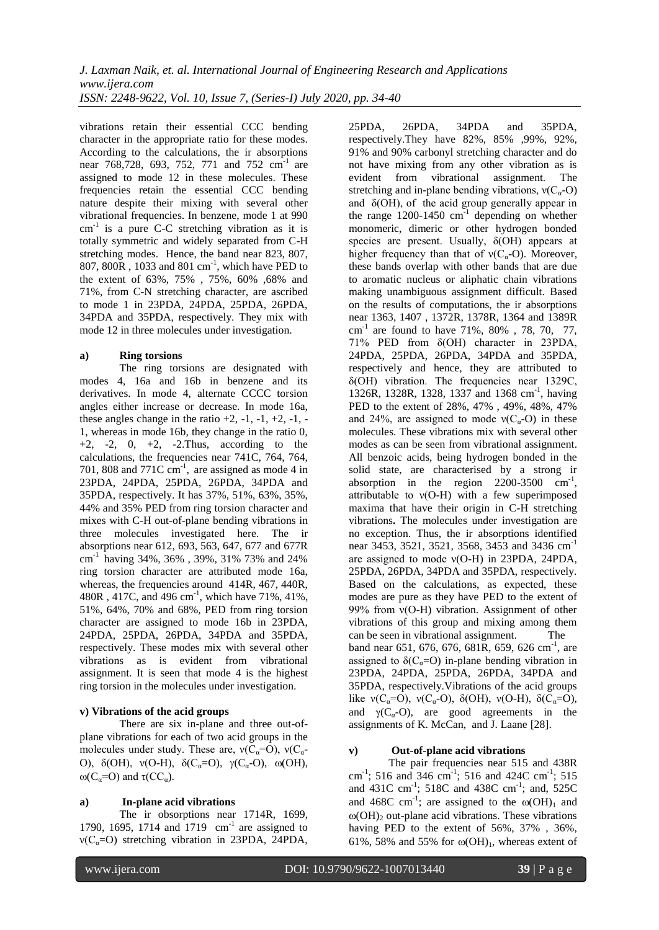vibrations retain their essential CCC bending character in the appropriate ratio for these modes. According to the calculations, the ir absorptions near 768,728, 693, 752, 771 and 752 cm<sup>-1</sup> are assigned to mode 12 in these molecules. These frequencies retain the essential CCC bending nature despite their mixing with several other vibrational frequencies. In benzene, mode 1 at 990 cm<sup>-1</sup> is a pure C-C stretching vibration as it is totally symmetric and widely separated from C-H stretching modes. Hence, the band near 823, 807, 807, 800R , 1033 and 801 cm-1 , which have PED to the extent of 63%, 75% , 75%, 60% ,68% and 71%, from C-N stretching character, are ascribed to mode 1 in 23PDA, 24PDA, 25PDA, 26PDA, 34PDA and 35PDA, respectively. They mix with mode 12 in three molecules under investigation.

## **a) Ring torsions**

The ring torsions are designated with modes 4, 16a and 16b in benzene and its derivatives. In mode 4, alternate CCCC torsion angles either increase or decrease. In mode 16a, these angles change in the ratio  $+2$ ,  $-1$ ,  $-1$ ,  $+2$ ,  $-1$ ,  $-1$ 1, whereas in mode 16b, they change in the ratio 0,  $+2$ ,  $-2$ ,  $0$ ,  $+2$ ,  $-2$ . Thus, according to the calculations, the frequencies near 741C, 764, 764, 701, 808 and 771C  $cm^{-1}$ , are assigned as mode 4 in 23PDA, 24PDA, 25PDA, 26PDA, 34PDA and 35PDA, respectively. It has 37%, 51%, 63%, 35%, 44% and 35% PED from ring torsion character and mixes with C-H out-of-plane bending vibrations in three molecules investigated here. The ir absorptions near 612, 693, 563, 647, 677 and 677R cm-1 having 34%, 36% , 39%, 31% 73% and 24% ring torsion character are attributed mode 16a, whereas, the frequencies around 414R, 467, 440R, 480R , 417C, and 496 cm-1 , which have 71%, 41%, 51%, 64%, 70% and 68%, PED from ring torsion character are assigned to mode 16b in 23PDA, 24PDA, 25PDA, 26PDA, 34PDA and 35PDA, respectively. These modes mix with several other vibrations as is evident from vibrational assignment. It is seen that mode 4 is the highest ring torsion in the molecules under investigation.

# **v) Vibrations of the acid groups**

There are six in-plane and three out-ofplane vibrations for each of two acid groups in the molecules under study. These are,  $v(C_a=O)$ ,  $v(C_a-$ O),  $\delta(OH)$ ,  $v(O-H)$ ,  $\delta(C_{\alpha}=O)$ ,  $\gamma(C_{\alpha}-O)$ ,  $ω(OH)$ ,  $ω(C<sub>a</sub>=O)$  and  $τ(CC<sub>a</sub>)$ .

# **a) In-plane acid vibrations**

The ir obsorptions near 1714R, 1699, 1790, 1695, 1714 and  $1719 \text{ cm}^{-1}$  are assigned to  $ν(C<sub>α</sub>=O)$  stretching vibration in 23PDA, 24PDA,

25PDA, 26PDA, 34PDA and 35PDA, respectively.They have 82%, 85% ,99%, 92%, 91% and 90% carbonyl stretching character and do not have mixing from any other vibration as is evident from vibrational assignment. The stretching and in-plane bending vibrations,  $v(C_{\alpha}-O)$ and  $\delta$ (OH), of the acid group generally appear in the range  $1200-1450$  cm<sup>-1</sup> depending on whether monomeric, dimeric or other hydrogen bonded species are present. Usually,  $\delta(OH)$  appears at higher frequency than that of  $v(C_{\alpha}-O)$ . Moreover, these bands overlap with other bands that are due to aromatic nucleus or aliphatic chain vibrations making unambiguous assignment difficult. Based on the results of computations, the ir absorptions near 1363, 1407 , 1372R, 1378R, 1364 and 1389R cm-1 are found to have 71%, 80% , 78, 70, 77, 71% PED from δ(OH) character in 23PDA, 24PDA, 25PDA, 26PDA, 34PDA and 35PDA, respectively and hence, they are attributed to δ(OH) vibration. The frequencies near 1329C, 1326R, 1328R, 1328, 1337 and 1368 cm<sup>-1</sup>, having PED to the extent of 28%, 47% , 49%, 48%, 47% and 24%, are assigned to mode  $v(C_\alpha-O)$  in these molecules. These vibrations mix with several other modes as can be seen from vibrational assignment. All benzoic acids, being hydrogen bonded in the solid state, are characterised by a strong ir absorption in the region  $2200-3500$  cm<sup>-1</sup>, attributable to  $v(O-H)$  with a few superimposed maxima that have their origin in C-H stretching vibrations**.** The molecules under investigation are no exception. Thus, the ir absorptions identified near 3453, 3521, 3521, 3568, 3453 and 3436 cm-1 are assigned to mode ν(O-H) in 23PDA, 24PDA, 25PDA, 26PDA, 34PDA and 35PDA, respectively. Based on the calculations, as expected, these modes are pure as they have PED to the extent of 99% from ν(O-H) vibration. Assignment of other vibrations of this group and mixing among them can be seen in vibrational assignment. The band near 651, 676, 676, 681R, 659, 626 cm<sup>-1</sup>, are assigned to  $\delta(C_{\alpha}=O)$  in-plane bending vibration in 23PDA, 24PDA, 25PDA, 26PDA, 34PDA and 35PDA, respectively.Vibrations of the acid groups like  $v(C_{\alpha}=O)$ ,  $v(C_{\alpha}-O)$ ,  $\delta(OH)$ ,  $v(O-H)$ ,  $\delta(C_{\alpha}=O)$ , and  $\gamma$ (C<sub>a</sub>-O), are good agreements in the assignments of K. McCan, and J. Laane [28].

## **v) Out-of-plane acid vibrations**

The pair frequencies near 515 and 438R cm<sup>-1</sup>; 516 and 346 cm<sup>-1</sup>; 516 and 424C cm<sup>-1</sup>; 515 and 431C cm<sup>-1</sup>; 518C and 438C cm<sup>-1</sup>; and, 525C and 468C cm<sup>-1</sup>; are assigned to the  $\omega(OH)_1$  and  $\omega(OH)$ <sub>2</sub> out-plane acid vibrations. These vibrations having PED to the extent of 56%, 37% , 36%, 61%, 58% and 55% for  $\omega(OH)$ <sub>1</sub>, whereas extent of